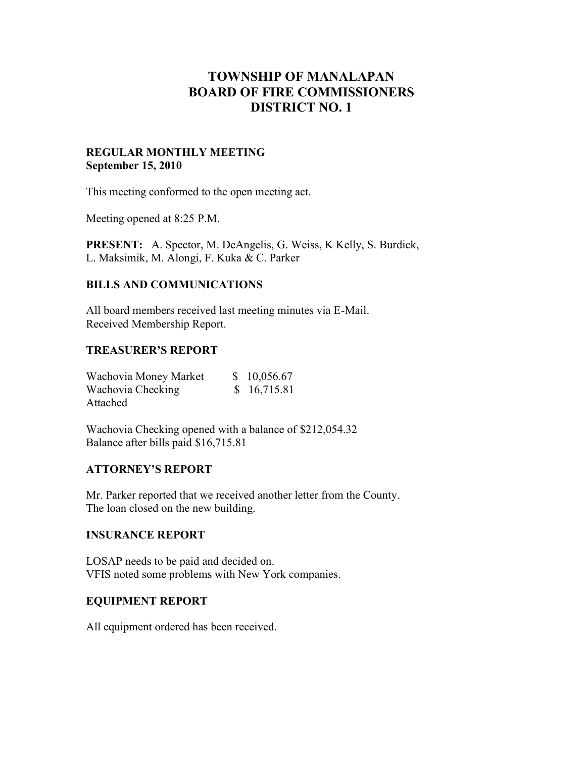# **TOWNSHIP OF MANALAPAN BOARD OF FIRE COMMISSIONERS DISTRICT NO. 1**

### **REGULAR MONTHLY MEETING September 15, 2010**

This meeting conformed to the open meeting act.

Meeting opened at 8:25 P.M.

**PRESENT:** A. Spector, M. DeAngelis, G. Weiss, K Kelly, S. Burdick, L. Maksimik, M. Alongi, F. Kuka & C. Parker

# **BILLS AND COMMUNICATIONS**

All board members received last meeting minutes via E-Mail. Received Membership Report.

#### **TREASURER'S REPORT**

| Wachovia Money Market | \$10,056.67 |  |
|-----------------------|-------------|--|
| Wachovia Checking     | \$16,715.81 |  |
| Attached              |             |  |

Wachovia Checking opened with a balance of \$212,054.32 Balance after bills paid \$16,715.81

## **ATTORNEY'S REPORT**

Mr. Parker reported that we received another letter from the County. The loan closed on the new building.

#### **INSURANCE REPORT**

LOSAP needs to be paid and decided on. VFIS noted some problems with New York companies.

## **EQUIPMENT REPORT**

All equipment ordered has been received.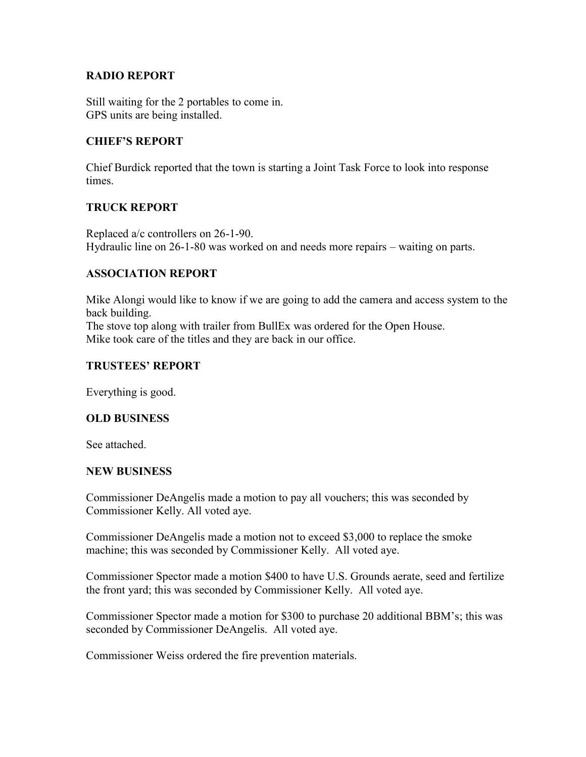## **RADIO REPORT**

Still waiting for the 2 portables to come in. GPS units are being installed.

## **CHIEF'S REPORT**

Chief Burdick reported that the town is starting a Joint Task Force to look into response times.

## **TRUCK REPORT**

Replaced a/c controllers on 26-1-90. Hydraulic line on 26-1-80 was worked on and needs more repairs – waiting on parts.

## **ASSOCIATION REPORT**

Mike Alongi would like to know if we are going to add the camera and access system to the back building.

The stove top along with trailer from BullEx was ordered for the Open House. Mike took care of the titles and they are back in our office.

## **TRUSTEES' REPORT**

Everything is good.

#### **OLD BUSINESS**

See attached.

#### **NEW BUSINESS**

Commissioner DeAngelis made a motion to pay all vouchers; this was seconded by Commissioner Kelly. All voted aye.

Commissioner DeAngelis made a motion not to exceed \$3,000 to replace the smoke machine; this was seconded by Commissioner Kelly. All voted aye.

Commissioner Spector made a motion \$400 to have U.S. Grounds aerate, seed and fertilize the front yard; this was seconded by Commissioner Kelly. All voted aye.

Commissioner Spector made a motion for \$300 to purchase 20 additional BBM's; this was seconded by Commissioner DeAngelis. All voted aye.

Commissioner Weiss ordered the fire prevention materials.